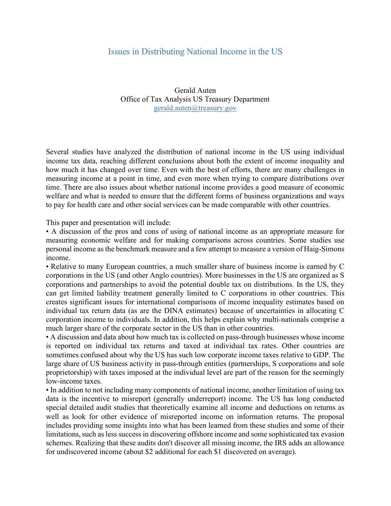## Issues in Distributing National Income in the US

Gerald Auten Office of Tax Analysis US Treasury Department gerald.auten@treasury.gov

Several studies have analyzed the distribution of national income in the US using individual income tax data, reaching different conclusions about both the extent of income inequality and how much it has changed over time. Even with the best of efforts, there are many challenges in measuring income at a point in time, and even more when trying to compare distributions over time. There are also issues about whether national income provides a good measure of economic welfare and what is needed to ensure that the different forms of business organizations and ways to pay for health care and other social services can be made comparable with other countries.

This paper and presentation will include:

• A discussion of the pros and cons of using of national income as an appropriate measure for measuring economic welfare and for making comparisons across countries. Some studies use personal income as the benchmark measure and a few attempt to measure a version of Haig-Simons income.

• Relative to many European countries, a much smaller share of business income is earned by C corporations in the US (and other Anglo countries). More businesses in the US are organized as S corporations and partnerships to avoid the potential double tax on distributions. In the US, they can get limited liability treatment generally limited to C corporations in other countries. This creates significant issues for international comparisons of income inequality estimates based on individual tax return data (as are the DINA estimates) because of uncertainties in allocating C corporation income to individuals. In addition, this helps explain why multi-nationals comprise a much larger share of the corporate sector in the US than in other countries.

• A discussion and data about how much tax is collected on pass-through businesses whose income is reported on individual tax returns and taxed at individual tax rates. Other countries are sometimes confused about why the US has such low corporate income taxes relative to GDP. The large share of US business activity in pass-through entities (partnerships, S corporations and sole proprietorship) with taxes imposed at the individual level are part of the reason for the seemingly low-income taxes.

• In addition to not including many components of national income, another limitation of using tax data is the incentive to misreport (generally underreport) income. The US has long conducted special detailed audit studies that theoretically examine all income and deductions on returns as well as look for other evidence of misreported income on information returns. The proposal includes providing some insights into what has been learned from these studies and some of their limitations, such as less success in discovering offshore income and some sophisticated tax evasion schemes. Realizing that these audits don't discover all missing income, the IRS adds an allowance for undiscovered income (about \$2 additional for each \$1 discovered on average).